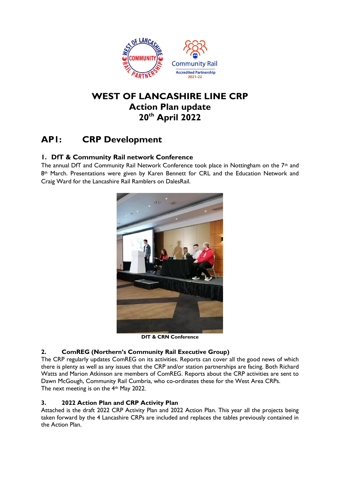

## **WEST OF LANCASHIRE LINE CRP Action Plan update 20th April 2022**

# **AP1: CRP Development**

## **1. DfT & Community Rail network Conference**

The annual DfT and Community Rail Network Conference took place in Nottingham on the 7<sup>th</sup> and 8<sup>th</sup> March. Presentations were given by Karen Bennett for CRL and the Education Network and Craig Ward for the Lancashire Rail Ramblers on DalesRail.



**DfT & CRN Conference**

### **2. ComREG (Northern's Community Rail Executive Group)**

The CRP regularly updates ComREG on its activities. Reports can cover all the good news of which there is plenty as well as any issues that the CRP and/or station partnerships are facing. Both Richard Watts and Marion Atkinson are members of ComREG. Reports about the CRP activities are sent to Dawn McGough, Community Rail Cumbria, who co-ordinates these for the West Area CRPs. The next meeting is on the 4th May 2022.

### **3. 2022 Action Plan and CRP Activity Plan**

Attached is the draft 2022 CRP Activity Plan and 2022 Action Plan. This year all the projects being taken forward by the 4 Lancashire CRPs are included and replaces the tables previously contained in the Action Plan.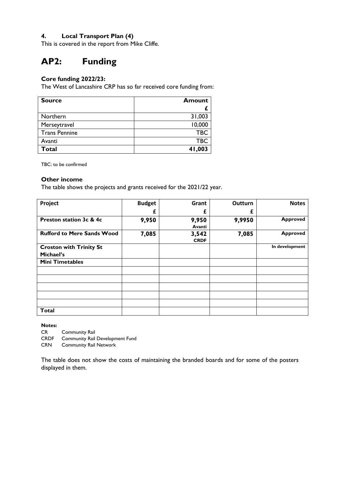### **4. Local Transport Plan (4)**

This is covered in the report from Mike Cliffe.

# **AP2: Funding**

## **Core funding 2022/23:**

The West of Lancashire CRP has so far received core funding from:

| <b>Source</b>        | <b>Amount</b> |
|----------------------|---------------|
|                      |               |
| Northern             | 31,003        |
| Merseytravel         | 10,000        |
| <b>Trans Pennine</b> | <b>TBC</b>    |
| Avanti               | <b>TBC</b>    |
| <b>Total</b>         | 41,003        |

TBC: to be confirmed

#### **Other income**

The table shows the projects and grants received for the 2021/22 year.

| Project                           | <b>Budget</b> | Grant                | Outturn | <b>Notes</b>    |
|-----------------------------------|---------------|----------------------|---------|-----------------|
|                                   | £             | £                    | £       |                 |
| Preston station 3c & 4c           | 9,950         | 9,950<br>Avanti      | 9,9950  | <b>Approved</b> |
| <b>Rufford to Mere Sands Wood</b> | 7,085         | 3,542<br><b>CRDF</b> | 7,085   | <b>Approved</b> |
| <b>Croston with Trinity St</b>    |               |                      |         | In development  |
| Michael's                         |               |                      |         |                 |
| <b>Mini Timetables</b>            |               |                      |         |                 |
|                                   |               |                      |         |                 |
|                                   |               |                      |         |                 |
|                                   |               |                      |         |                 |
|                                   |               |                      |         |                 |
|                                   |               |                      |         |                 |
| <b>Total</b>                      |               |                      |         |                 |

**Notes:**

CR Community Rail

CRDF Community Rail Development Fund

CRN Community Rail Network

The table does not show the costs of maintaining the branded boards and for some of the posters displayed in them.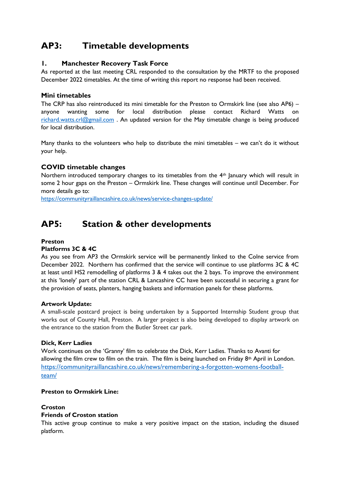# **AP3: Timetable developments**

### **1. Manchester Recovery Task Force**

As reported at the last meeting CRL responded to the consultation by the MRTF to the proposed December 2022 timetables. At the time of writing this report no response had been received.

### **Mini timetables**

The CRP has also reintroduced its mini timetable for the Preston to Ormskirk line (see also AP6) – anyone wanting some for local distribution please contact Richard Watts on [richard.watts.crl@gmail.com](mailto:richard.watts.crl@gmail.com) . An updated version for the May timetable change is being produced for local distribution.

Many thanks to the volunteers who help to distribute the mini timetables – we can't do it without your help.

### **COVID timetable changes**

Northern introduced temporary changes to its timetables from the 4<sup>th</sup> January which will result in some 2 hour gaps on the Preston – Ormskirk line. These changes will continue until December. For more details go to:

<https://communityraillancashire.co.uk/news/service-changes-update/>

## **AP5: Station & other developments**

### **Preston**

### **Platforms 3C & 4C**

As you see from AP3 the Ormskirk service will be permanently linked to the Colne service from December 2022. Northern has confirmed that the service will continue to use platforms 3C & 4C at least until HS2 remodelling of platforms 3 & 4 takes out the 2 bays. To improve the environment at this 'lonely' part of the station CRL & Lancashire CC have been successful in securing a grant for the provision of seats, planters, hanging baskets and information panels for these platforms.

### **Artwork Update:**

A small-scale postcard project is being undertaken by a Supported Internship Student group that works out of County Hall, Preston. A larger project is also being developed to display artwork on the entrance to the station from the Butler Street car park.

### **Dick, Kerr Ladies**

Work continues on the 'Granny' film to celebrate the Dick, Kerr Ladies. Thanks to Avanti for allowing the film crew to film on the train. The film is being launched on Friday 8<sup>th</sup> April in London. [https://communityraillancashire.co.uk/news/remembering-a-forgotten-womens-football](https://communityraillancashire.co.uk/news/remembering-a-forgotten-womens-football-team/)[team/](https://communityraillancashire.co.uk/news/remembering-a-forgotten-womens-football-team/)

### **Preston to Ormskirk Line:**

### **Croston**

### **Friends of Croston station**

This active group continue to make a very positive impact on the station, including the disused platform.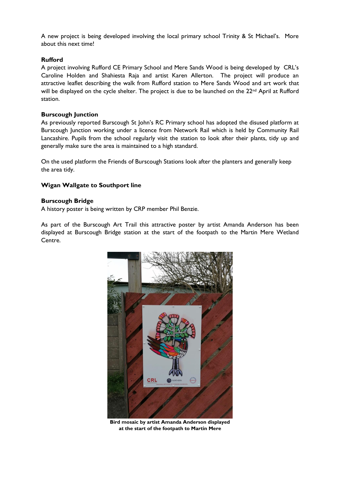A new project is being developed involving the local primary school Trinity & St Michael's. More about this next time!

#### **Rufford**

A project involving Rufford CE Primary School and Mere Sands Wood is being developed by CRL's Caroline Holden and Shahiesta Raja and artist Karen Allerton. The project will produce an attractive leaflet describing the walk from Rufford station to Mere Sands Wood and art work that will be displayed on the cycle shelter. The project is due to be launched on the 22<sup>nd</sup> April at Rufford station.

#### **Burscough Junction**

As previously reported Burscough St John's RC Primary school has adopted the disused platform at Burscough Junction working under a licence from Network Rail which is held by Community Rail Lancashire. Pupils from the school regularly visit the station to look after their plants, tidy up and generally make sure the area is maintained to a high standard.

On the used platform the Friends of Burscough Stations look after the planters and generally keep the area tidy.

### **Wigan Wallgate to Southport line**

#### **Burscough Bridge**

A history poster is being written by CRP member Phil Benzie.

As part of the Burscough Art Trail this attractive poster by artist Amanda Anderson has been displayed at Burscough Bridge station at the start of the footpath to the Martin Mere Wetland Centre.



**Bird mosaic by artist Amanda Anderson displayed at the start of the footpath to Martin Mere**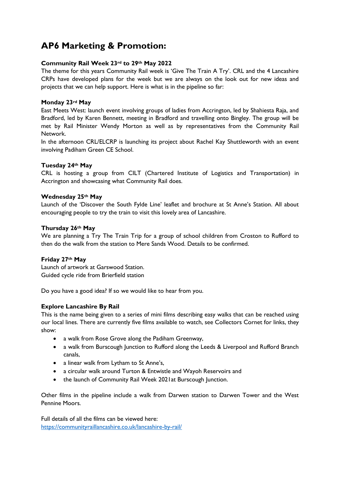## **AP6 Marketing & Promotion:**

### **Community Rail Week 23rd to 29th May 2022**

The theme for this years Community Rail week is 'Give The Train A Try'. CRL and the 4 Lancashire CRPs have developed plans for the week but we are always on the look out for new ideas and projects that we can help support. Here is what is in the pipeline so far:

#### **Monday 23rd May**

East Meets West: launch event involving groups of ladies from Accrington, led by Shahiesta Raja, and Bradford, led by Karen Bennett, meeting in Bradford and travelling onto Bingley. The group will be met by Rail Minister Wendy Morton as well as by representatives from the Community Rail Network.

In the afternoon CRL/ELCRP is launching its project about Rachel Kay Shuttleworth with an event involving Padiham Green CE School.

#### **Tuesday 24th May**

CRL is hosting a group from CILT (Chartered Institute of Logistics and Transportation) in Accrington and showcasing what Community Rail does.

#### **Wednesday 25th May**

Launch of the 'Discover the South Fylde Line' leaflet and brochure at St Anne's Station. All about encouraging people to try the train to visit this lovely area of Lancashire.

#### **Thursday 26th May**

We are planning a Try The Train Trip for a group of school children from Croston to Rufford to then do the walk from the station to Mere Sands Wood. Details to be confirmed.

### **Friday 27th May**

Launch of artwork at Garswood Station. Guided cycle ride from Brierfield station

Do you have a good idea? If so we would like to hear from you.

### **Explore Lancashire By Rail**

This is the name being given to a series of mini films describing easy walks that can be reached using our local lines. There are currently five films available to watch, see Collectors Cornet for links, they show:

- a walk from Rose Grove along the Padiham Greenway,
- a walk from Burscough Junction to Rufford along the Leeds & Liverpool and Rufford Branch canals,
- a linear walk from Lytham to St Anne's,
- a circular walk around Turton & Entwistle and Wayoh Reservoirs and
- the launch of Community Rail Week 2021at Burscough Junction.

Other films in the pipeline include a walk from Darwen station to Darwen Tower and the West Pennine Moors.

Full details of all the films can be viewed here: <https://communityraillancashire.co.uk/lancashire-by-rail/>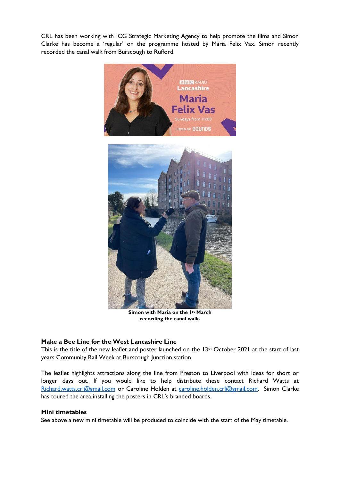CRL has been working with ICG Strategic Marketing Agency to help promote the films and Simon Clarke has become a 'regular' on the programme hosted by Maria Felix Vax. Simon recently recorded the canal walk from Burscough to Rufford.



**Simon with Maria on the 1st March recording the canal walk.**

#### **Make a Bee Line for the West Lancashire Line**

This is the title of the new leaflet and poster launched on the 13<sup>th</sup> October 2021 at the start of last years Community Rail Week at Burscough Junction station.

The leaflet highlights attractions along the line from Preston to Liverpool with ideas for short or longer days out. If you would like to help distribute these contact Richard Watts at [Richard.watts.crl@gmail.com](mailto:Richard.watts.crl@gmail.com) or Caroline Holden at [caroline.holden.crl@gmail.com.](mailto:caroline.holden.crl@gmail.com) Simon Clarke has toured the area installing the posters in CRL's branded boards.

#### **Mini timetables**

See above a new mini timetable will be produced to coincide with the start of the May timetable.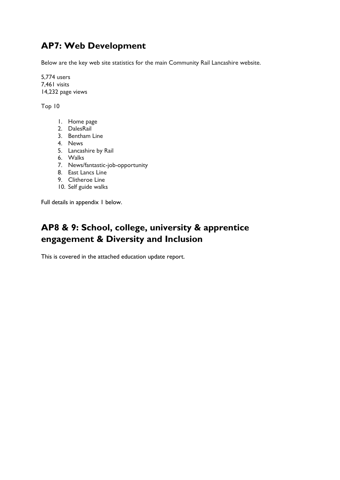# **AP7: Web Development**

Below are the key web site statistics for the main Community Rail Lancashire website.

5,774 users 7,461 visits 14,232 page views

Top 10

- 1. Home page
- 2. DalesRail
- 3. Bentham Line
- 4. News
- 5. Lancashire by Rail
- 6. Walks
- 7. News/fantastic-job-opportunity
- 8. East Lancs Line
- 9. Clitheroe Line
- 10. Self guide walks

Full details in appendix 1 below.

# **AP8 & 9: School, college, university & apprentice engagement & Diversity and Inclusion**

This is covered in the attached education update report.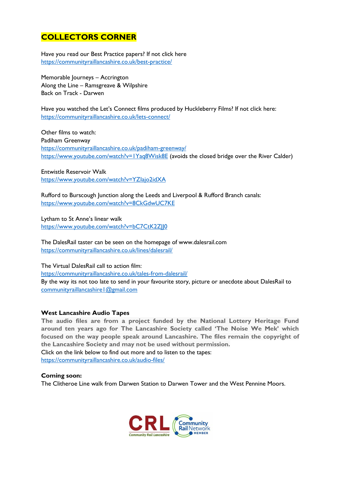## **COLLECTORS CORNER**

Have you read our Best Practice papers? If not click here <https://communityraillancashire.co.uk/best-practice/>

Memorable Journeys – Accrington Along the Line – Ramsgreave & Wilpshire Back on Track - Darwen

Have you watched the Let's Connect films produced by Huckleberry Films? If not click here: <https://communityraillancashire.co.uk/lets-connect/>

Other films to watch: Padiham Greenway <https://communityraillancashire.co.uk/padiham-greenway/> <https://www.youtube.com/watch?v=1Yaq8Wisk8E> (avoids the closed bridge over the River Calder)

Entwistle Reservoir Walk <https://www.youtube.com/watch?v=YZIajo2idXA>

Rufford to Burscough Junction along the Leeds and Liverpool & Rufford Branch canals: <https://www.youtube.com/watch?v=8CkGdwUC7KE>

Lytham to St Anne's linear walk <https://www.youtube.com/watch?v=bC7CtK2ZJJ0>

The DalesRail taster can be seen on the homepage of www.dalesrail.com <https://communityraillancashire.co.uk/lines/dalesrail/>

The Virtual DalesRail call to action film: <https://communityraillancashire.co.uk/tales-from-dalesrail/>

By the way its not too late to send in your favourite story, picture or anecdote about DalesRail to [communityraillancashire1@gmail.com](mailto:communityraillancashire1@gmail.com)

### **West Lancashire Audio Tapes**

**The audio files are from a project funded by the National Lottery Heritage Fund around ten years ago for The Lancashire Society called 'The Noise We Mek' which focused on the way people speak around Lancashire. The files remain the copyright of the Lancashire Society and may not be used without permission.**

Click on the link below to find out more and to listen to the tapes: <https://communityraillancashire.co.uk/audio-files/>

### **Coming soon:**

The Clitheroe Line walk from Darwen Station to Darwen Tower and the West Pennine Moors.